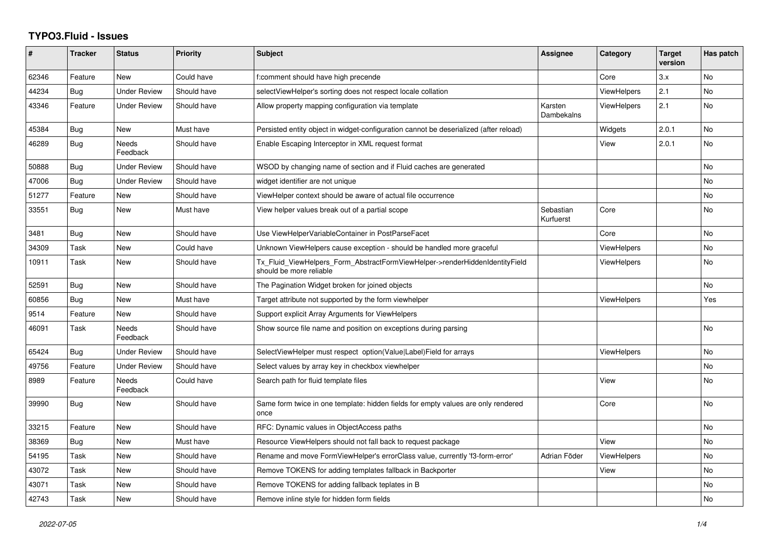## **TYPO3.Fluid - Issues**

| #     | <b>Tracker</b> | <b>Status</b>            | <b>Priority</b> | <b>Subject</b>                                                                                         | <b>Assignee</b>        | Category           | <b>Target</b><br>version | Has patch |
|-------|----------------|--------------------------|-----------------|--------------------------------------------------------------------------------------------------------|------------------------|--------------------|--------------------------|-----------|
| 62346 | Feature        | <b>New</b>               | Could have      | f:comment should have high precende                                                                    |                        | Core               | 3.x                      | <b>No</b> |
| 44234 | Bug            | <b>Under Review</b>      | Should have     | selectViewHelper's sorting does not respect locale collation                                           |                        | ViewHelpers        | 2.1                      | <b>No</b> |
| 43346 | Feature        | <b>Under Review</b>      | Should have     | Allow property mapping configuration via template                                                      | Karsten<br>Dambekalns  | <b>ViewHelpers</b> | 2.1                      | <b>No</b> |
| 45384 | Bug            | <b>New</b>               | Must have       | Persisted entity object in widget-configuration cannot be deserialized (after reload)                  |                        | Widgets            | 2.0.1                    | <b>No</b> |
| 46289 | Bug            | <b>Needs</b><br>Feedback | Should have     | Enable Escaping Interceptor in XML request format                                                      |                        | View               | 2.0.1                    | No        |
| 50888 | Bug            | <b>Under Review</b>      | Should have     | WSOD by changing name of section and if Fluid caches are generated                                     |                        |                    |                          | No        |
| 47006 | Bug            | <b>Under Review</b>      | Should have     | widget identifier are not unique                                                                       |                        |                    |                          | <b>No</b> |
| 51277 | Feature        | New                      | Should have     | ViewHelper context should be aware of actual file occurrence                                           |                        |                    |                          | No        |
| 33551 | Bug            | <b>New</b>               | Must have       | View helper values break out of a partial scope                                                        | Sebastian<br>Kurfuerst | Core               |                          | <b>No</b> |
| 3481  | Bug            | <b>New</b>               | Should have     | Use ViewHelperVariableContainer in PostParseFacet                                                      |                        | Core               |                          | <b>No</b> |
| 34309 | Task           | New                      | Could have      | Unknown ViewHelpers cause exception - should be handled more graceful                                  |                        | ViewHelpers        |                          | No        |
| 10911 | Task           | New                      | Should have     | Tx_Fluid_ViewHelpers_Form_AbstractFormViewHelper->renderHiddenIdentityField<br>should be more reliable |                        | <b>ViewHelpers</b> |                          | <b>No</b> |
| 52591 | Bug            | <b>New</b>               | Should have     | The Pagination Widget broken for joined objects                                                        |                        |                    |                          | <b>No</b> |
| 60856 | <b>Bug</b>     | New                      | Must have       | Target attribute not supported by the form viewhelper                                                  |                        | <b>ViewHelpers</b> |                          | Yes       |
| 9514  | Feature        | <b>New</b>               | Should have     | Support explicit Array Arguments for ViewHelpers                                                       |                        |                    |                          |           |
| 46091 | Task           | Needs<br>Feedback        | Should have     | Show source file name and position on exceptions during parsing                                        |                        |                    |                          | <b>No</b> |
| 65424 | Bug            | <b>Under Review</b>      | Should have     | SelectViewHelper must respect option(Value Label)Field for arrays                                      |                        | ViewHelpers        |                          | No        |
| 49756 | Feature        | <b>Under Review</b>      | Should have     | Select values by array key in checkbox viewhelper                                                      |                        |                    |                          | <b>No</b> |
| 8989  | Feature        | Needs<br>Feedback        | Could have      | Search path for fluid template files                                                                   |                        | View               |                          | No        |
| 39990 | Bug            | New                      | Should have     | Same form twice in one template: hidden fields for empty values are only rendered<br>once              |                        | Core               |                          | <b>No</b> |
| 33215 | Feature        | New                      | Should have     | RFC: Dynamic values in ObjectAccess paths                                                              |                        |                    |                          | <b>No</b> |
| 38369 | Bug            | New                      | Must have       | Resource ViewHelpers should not fall back to request package                                           |                        | View               |                          | No        |
| 54195 | Task           | New                      | Should have     | Rename and move FormViewHelper's errorClass value, currently 'f3-form-error'                           | Adrian Föder           | <b>ViewHelpers</b> |                          | No        |
| 43072 | Task           | New                      | Should have     | Remove TOKENS for adding templates fallback in Backporter                                              |                        | View               |                          | <b>No</b> |
| 43071 | Task           | New                      | Should have     | Remove TOKENS for adding fallback teplates in B                                                        |                        |                    |                          | No        |
| 42743 | Task           | New                      | Should have     | Remove inline style for hidden form fields                                                             |                        |                    |                          | No        |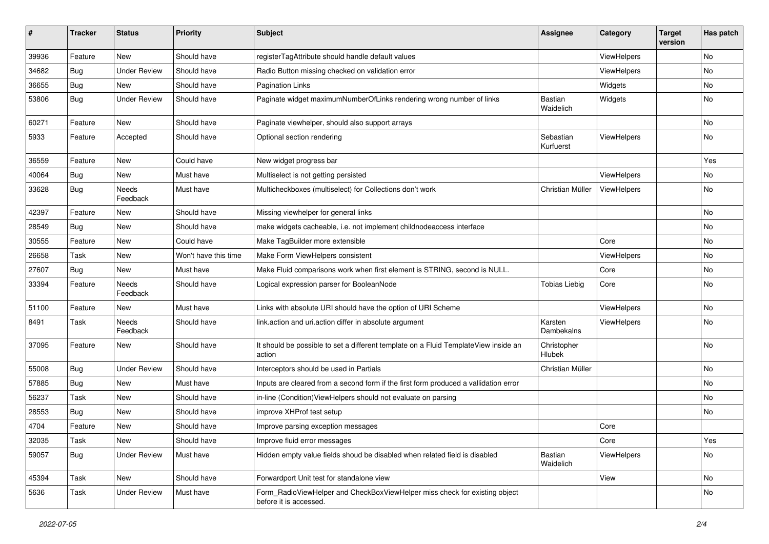| ∦     | <b>Tracker</b> | <b>Status</b>       | <b>Priority</b>      | <b>Subject</b>                                                                                       | <b>Assignee</b>             | Category    | <b>Target</b><br>version | Has patch |
|-------|----------------|---------------------|----------------------|------------------------------------------------------------------------------------------------------|-----------------------------|-------------|--------------------------|-----------|
| 39936 | Feature        | <b>New</b>          | Should have          | registerTagAttribute should handle default values                                                    |                             | ViewHelpers |                          | No        |
| 34682 | Bug            | <b>Under Review</b> | Should have          | Radio Button missing checked on validation error                                                     |                             | ViewHelpers |                          | No        |
| 36655 | Bug            | New                 | Should have          | <b>Pagination Links</b>                                                                              |                             | Widgets     |                          | No        |
| 53806 | Bug            | <b>Under Review</b> | Should have          | Paginate widget maximumNumberOfLinks rendering wrong number of links                                 | <b>Bastian</b><br>Waidelich | Widgets     |                          | No        |
| 60271 | Feature        | <b>New</b>          | Should have          | Paginate viewhelper, should also support arrays                                                      |                             |             |                          | No        |
| 5933  | Feature        | Accepted            | Should have          | Optional section rendering                                                                           | Sebastian<br>Kurfuerst      | ViewHelpers |                          | No        |
| 36559 | Feature        | New                 | Could have           | New widget progress bar                                                                              |                             |             |                          | Yes       |
| 40064 | Bug            | New                 | Must have            | Multiselect is not getting persisted                                                                 |                             | ViewHelpers |                          | No        |
| 33628 | Bug            | Needs<br>Feedback   | Must have            | Multicheckboxes (multiselect) for Collections don't work                                             | Christian Müller            | ViewHelpers |                          | No        |
| 42397 | Feature        | New                 | Should have          | Missing viewhelper for general links                                                                 |                             |             |                          | No        |
| 28549 | Bug            | <b>New</b>          | Should have          | make widgets cacheable, i.e. not implement childnodeaccess interface                                 |                             |             |                          | No.       |
| 30555 | Feature        | New                 | Could have           | Make TagBuilder more extensible                                                                      |                             | Core        |                          | No        |
| 26658 | Task           | New                 | Won't have this time | Make Form ViewHelpers consistent                                                                     |                             | ViewHelpers |                          | No.       |
| 27607 | Bug            | New                 | Must have            | Make Fluid comparisons work when first element is STRING, second is NULL.                            |                             | Core        |                          | No        |
| 33394 | Feature        | Needs<br>Feedback   | Should have          | Logical expression parser for BooleanNode                                                            | <b>Tobias Liebig</b>        | Core        |                          | No        |
| 51100 | Feature        | New                 | Must have            | Links with absolute URI should have the option of URI Scheme                                         |                             | ViewHelpers |                          | No        |
| 8491  | Task           | Needs<br>Feedback   | Should have          | link.action and uri.action differ in absolute argument                                               | Karsten<br>Dambekalns       | ViewHelpers |                          | No        |
| 37095 | Feature        | New                 | Should have          | It should be possible to set a different template on a Fluid TemplateView inside an<br>action        | Christopher<br>Hlubek       |             |                          | No        |
| 55008 | Bug            | <b>Under Review</b> | Should have          | Interceptors should be used in Partials                                                              | Christian Müller            |             |                          | No        |
| 57885 | Bug            | New                 | Must have            | Inputs are cleared from a second form if the first form produced a vallidation error                 |                             |             |                          | No        |
| 56237 | Task           | New                 | Should have          | in-line (Condition) View Helpers should not evaluate on parsing                                      |                             |             |                          | No        |
| 28553 | Bug            | New                 | Should have          | improve XHProf test setup                                                                            |                             |             |                          | No        |
| 4704  | Feature        | New                 | Should have          | Improve parsing exception messages                                                                   |                             | Core        |                          |           |
| 32035 | Task           | New                 | Should have          | Improve fluid error messages                                                                         |                             | Core        |                          | Yes       |
| 59057 | Bug            | <b>Under Review</b> | Must have            | Hidden empty value fields shoud be disabled when related field is disabled                           | Bastian<br>Waidelich        | ViewHelpers |                          | No        |
| 45394 | Task           | New                 | Should have          | Forwardport Unit test for standalone view                                                            |                             | View        |                          | No        |
| 5636  | Task           | <b>Under Review</b> | Must have            | Form_RadioViewHelper and CheckBoxViewHelper miss check for existing object<br>before it is accessed. |                             |             |                          | No        |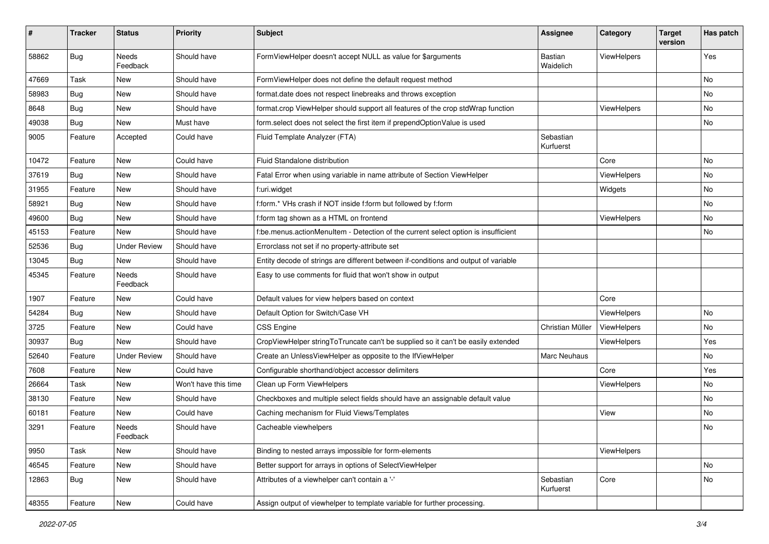| #     | <b>Tracker</b> | <b>Status</b>            | <b>Priority</b>      | Subject                                                                             | <b>Assignee</b>        | Category           | <b>Target</b><br>version | Has patch |
|-------|----------------|--------------------------|----------------------|-------------------------------------------------------------------------------------|------------------------|--------------------|--------------------------|-----------|
| 58862 | Bug            | <b>Needs</b><br>Feedback | Should have          | FormViewHelper doesn't accept NULL as value for \$arguments                         | Bastian<br>Waidelich   | ViewHelpers        |                          | Yes       |
| 47669 | Task           | New                      | Should have          | FormViewHelper does not define the default request method                           |                        |                    |                          | No        |
| 58983 | <b>Bug</b>     | New                      | Should have          | format.date does not respect linebreaks and throws exception                        |                        |                    |                          | <b>No</b> |
| 8648  | Bug            | New                      | Should have          | format.crop ViewHelper should support all features of the crop stdWrap function     |                        | ViewHelpers        |                          | No        |
| 49038 | Bug            | <b>New</b>               | Must have            | form.select does not select the first item if prependOptionValue is used            |                        |                    |                          | No        |
| 9005  | Feature        | Accepted                 | Could have           | Fluid Template Analyzer (FTA)                                                       | Sebastian<br>Kurfuerst |                    |                          |           |
| 10472 | Feature        | New                      | Could have           | Fluid Standalone distribution                                                       |                        | Core               |                          | No        |
| 37619 | Bug            | New                      | Should have          | Fatal Error when using variable in name attribute of Section ViewHelper             |                        | ViewHelpers        |                          | No        |
| 31955 | Feature        | New                      | Should have          | f:uri.widget                                                                        |                        | Widgets            |                          | No        |
| 58921 | <b>Bug</b>     | New                      | Should have          | f:form.* VHs crash if NOT inside f:form but followed by f:form                      |                        |                    |                          | No.       |
| 49600 | Bug            | New                      | Should have          | f:form tag shown as a HTML on frontend                                              |                        | <b>ViewHelpers</b> |                          | No        |
| 45153 | Feature        | New                      | Should have          | f:be.menus.actionMenuItem - Detection of the current select option is insufficient  |                        |                    |                          | No        |
| 52536 | Bug            | Under Review             | Should have          | Errorclass not set if no property-attribute set                                     |                        |                    |                          |           |
| 13045 | Bug            | New                      | Should have          | Entity decode of strings are different between if-conditions and output of variable |                        |                    |                          |           |
| 45345 | Feature        | Needs<br>Feedback        | Should have          | Easy to use comments for fluid that won't show in output                            |                        |                    |                          |           |
| 1907  | Feature        | New                      | Could have           | Default values for view helpers based on context                                    |                        | Core               |                          |           |
| 54284 | Bug            | New                      | Should have          | Default Option for Switch/Case VH                                                   |                        | ViewHelpers        |                          | No        |
| 3725  | Feature        | New                      | Could have           | <b>CSS Engine</b>                                                                   | Christian Müller       | ViewHelpers        |                          | No        |
| 30937 | Bug            | New                      | Should have          | CropViewHelper stringToTruncate can't be supplied so it can't be easily extended    |                        | <b>ViewHelpers</b> |                          | Yes       |
| 52640 | Feature        | <b>Under Review</b>      | Should have          | Create an UnlessViewHelper as opposite to the IfViewHelper                          | Marc Neuhaus           |                    |                          | No        |
| 7608  | Feature        | New                      | Could have           | Configurable shorthand/object accessor delimiters                                   |                        | Core               |                          | Yes       |
| 26664 | Task           | New                      | Won't have this time | Clean up Form ViewHelpers                                                           |                        | ViewHelpers        |                          | No        |
| 38130 | Feature        | New                      | Should have          | Checkboxes and multiple select fields should have an assignable default value       |                        |                    |                          | No        |
| 60181 | Feature        | New                      | Could have           | Caching mechanism for Fluid Views/Templates                                         |                        | View               |                          | No        |
| 3291  | Feature        | Needs<br>Feedback        | Should have          | Cacheable viewhelpers                                                               |                        |                    |                          | No        |
| 9950  | Task           | New                      | Should have          | Binding to nested arrays impossible for form-elements                               |                        | ViewHelpers        |                          |           |
| 46545 | Feature        | New                      | Should have          | Better support for arrays in options of SelectViewHelper                            |                        |                    |                          | <b>No</b> |
| 12863 | Bug            | New                      | Should have          | Attributes of a viewhelper can't contain a '-'                                      | Sebastian<br>Kurfuerst | Core               |                          | No        |
| 48355 | Feature        | New                      | Could have           | Assign output of viewhelper to template variable for further processing.            |                        |                    |                          |           |